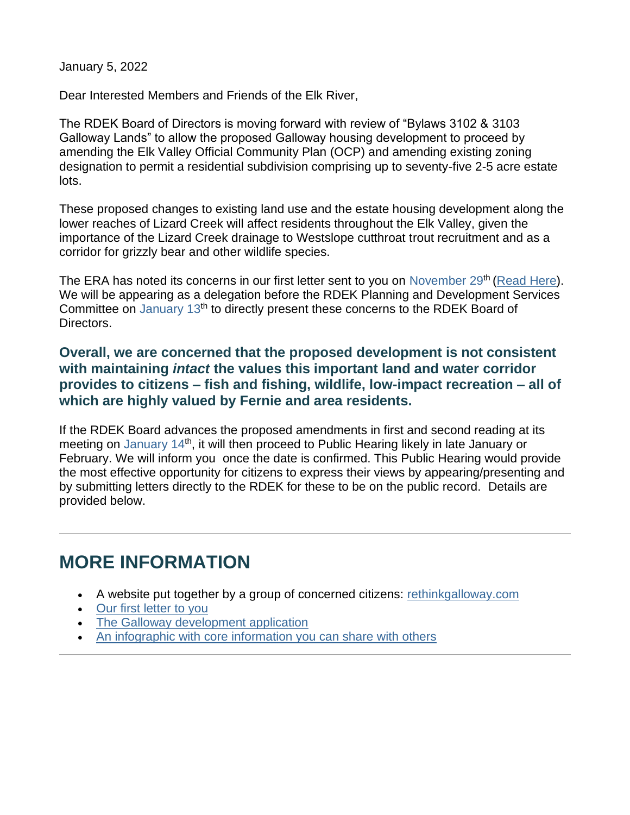January 5, 2022

Dear Interested Members and Friends of the Elk River,

The RDEK Board of Directors is moving forward with review of "Bylaws 3102 & 3103 Galloway Lands" to allow the proposed Galloway housing development to proceed by amending the Elk Valley Official Community Plan (OCP) and amending existing zoning designation to permit a residential subdivision comprising up to seventy-five 2-5 acre estate lots.

These proposed changes to existing land use and the estate housing development along the lower reaches of Lizard Creek will affect residents throughout the Elk Valley, given the importance of the Lizard Creek drainage to Westslope cutthroat trout recruitment and as a corridor for grizzly bear and other wildlife species.

The ERA has noted its concerns in our first letter sent to you on November  $29<sup>th</sup>$  [\(Read Here\)](https://www.elkriveralliance.ca/galloway_lands_letter1?e=1c6dc721928e229ed3116b8952f2ced8&utm_source=elkriveralliance&utm_medium=email&utm_campaign=galloway_open_letter_2&n=1). We will be appearing as a delegation before the RDEK Planning and Development Services Committee on January 13<sup>th</sup> to directly present these concerns to the RDEK Board of Directors.

**Overall, we are concerned that the proposed development is not consistent with maintaining** *intact* **the values this important land and water corridor provides to citizens – fish and fishing, wildlife, low-impact recreation – all of which are highly valued by Fernie and area residents.**

If the RDEK Board advances the proposed amendments in first and second reading at its meeting on January 14<sup>th</sup>, it will then proceed to Public Hearing likely in late January or February. We will inform you once the date is confirmed. This Public Hearing would provide the most effective opportunity for citizens to express their views by appearing/presenting and by submitting letters directly to the RDEK for these to be on the public record. Details are provided below.

## **MORE INFORMATION**

- A website put together by a group of concerned citizens: [rethinkgalloway.com](https://www.elkriveralliance.ca/r?u=s4FtL2CW-C-UjBT1cD-2UyloolcfiEC6Yo5EpMGpjPs&e=1c6dc721928e229ed3116b8952f2ced8&utm_source=elkriveralliance&utm_medium=email&utm_campaign=galloway_open_letter_2&n=2)
- [Our first letter to you](https://www.elkriveralliance.ca/galloway_lands_letter1?e=1c6dc721928e229ed3116b8952f2ced8&utm_source=elkriveralliance&utm_medium=email&utm_campaign=galloway_open_letter_2&n=3)
- [The Galloway development application](https://www.elkriveralliance.ca/r?u=x7qo17qR1Kb0lLg85yQYfAbXTC6Z7wxyptuSZemzKnHtfZZ6JjYpevMdr83LrY22aJbFRRZpAnmEPg9Ht3qCeDeyePcXscbhG63tUJV4W1dvP_J-RrwNmtL6DRxHezSJSX9ZD_2A7gUuXoDwL0rDrt6apqnDMcH5Thvu2kT9zcH96TTDOSCezuZf6X4xkoLq4usB7YvFJq3c8AtkkvN0dN7xveUTStTjMAHmVaA_hmplgnB77-MtFMH05snXIoSs&e=1c6dc721928e229ed3116b8952f2ced8&utm_source=elkriveralliance&utm_medium=email&utm_campaign=galloway_open_letter_2&n=4)
- [An infographic with core information you can share with others](https://www.elkriveralliance.ca/galloway_lands_development?e=1c6dc721928e229ed3116b8952f2ced8&utm_source=elkriveralliance&utm_medium=email&utm_campaign=galloway_open_letter_2&n=5)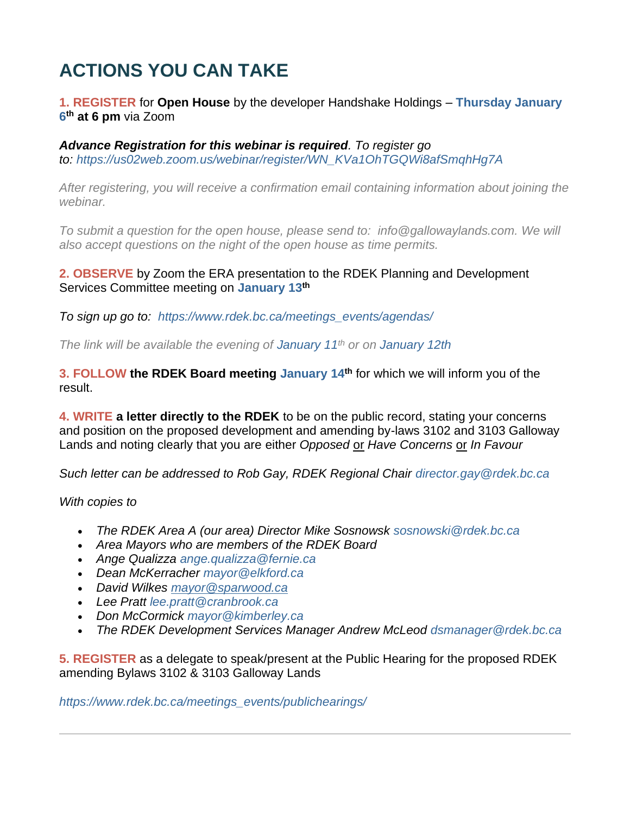# **ACTIONS YOU CAN TAKE**

#### **1. REGISTER** for **Open House** by the developer Handshake Holdings – **Thursday January 6 th at 6 pm** via Zoom

*Advance Registration for this webinar is required. To register go to: [https://us02web.zoom.us/webinar/register/WN\\_KVa1OhTGQWi8afSmqhHg7A](https://www.elkriveralliance.ca/r?u=iKj5iuxBXy-0B6ifolAJk7dCg1thFzBZiqLuYRLPpJ9M2sLOvb6yoz8DfYKyceC9OE5tIZaefGawgMS_5t5xFOfMk5rISOd5yVKSUxs5syM&e=1c6dc721928e229ed3116b8952f2ced8&utm_source=elkriveralliance&utm_medium=email&utm_campaign=galloway_open_letter_2&n=6)*

*After registering, you will receive a confirmation email containing information about joining the webinar.*

*To submit a question for the open house, please send to: [info@gallowaylands.com.](mailto:info@gallowaylands.com) We will also accept questions on the night of the open house as time permits.* 

#### **2. OBSERVE** by Zoom the ERA presentation to the RDEK Planning and Development Services Committee meeting on **January 13th**

*To sign up go to: [https://www.rdek.bc.ca/meetings\\_events/agendas/](https://www.elkriveralliance.ca/r?u=XvDMgfGL0SE-BifrKJlhyBB3TuUOq9rwLhmK1DWvM0qHLGMa86-5z9vZ_AnrcPqA&e=1c6dc721928e229ed3116b8952f2ced8&utm_source=elkriveralliance&utm_medium=email&utm_campaign=galloway_open_letter_2&n=7)*

*The link will be available the evening of January 11th or on January 12th*

**3. FOLLOW the RDEK Board meeting January 14th** for which we will inform you of the result.

**4. WRITE a letter directly to the RDEK** to be on the public record, stating your concerns and position on the proposed development and amending by-laws 3102 and 3103 Galloway Lands and noting clearly that you are either *Opposed* or *Have Concerns* or *In Favour*

*Such letter can be addressed to Rob Gay, RDEK Regional Chair [director.gay@rdek.bc.ca](mailto:director.gay@rdek.bc.ca)*

*With copies to*

- *The RDEK Area A (our area) Director Mike Sosnowsk [sosnowski@rdek.bc.ca](mailto:director.sosnowski@rdek.bc.ca)*
- *Area Mayors who are members of the RDEK Board*
- *Ange Qualizza [ange.qualizza@fernie.ca](mailto:ange.qualizza@fernie.ca)*
- *Dean McKerracher [mayor@elkford.ca](mailto:mayor@elkford.ca)*
- *David Wilkes [mayor@sparwood.ca](mailto:mayor@sparwood.ca)*
- *Lee Pratt [lee.pratt@cranbrook.ca](mailto:lee.pratt@cranbrook.ca)*
- *Don McCormick [mayor@kimberley.ca](mailto:mayor@kimberley.ca)*
- *The RDEK Development Services Manager Andrew McLeod [dsmanager@rdek.bc.ca](mailto:dsmanager@rdek.bc.ca)*

**5. REGISTER** as a delegate to speak/present at the Public Hearing for the proposed RDEK amending Bylaws 3102 & 3103 Galloway Lands

*[https://www.rdek.bc.ca/meetings\\_events/publichearings/](https://www.elkriveralliance.ca/r?u=XvDMgfGL0SE-BifrKJlhyBB3TuUOq9rwLhmK1DWvM0qujtzfNc30qMXqJJqe8g4Az2O7ipk_rtnltH76KM_OAQ&e=1c6dc721928e229ed3116b8952f2ced8&utm_source=elkriveralliance&utm_medium=email&utm_campaign=galloway_open_letter_2&n=8)*